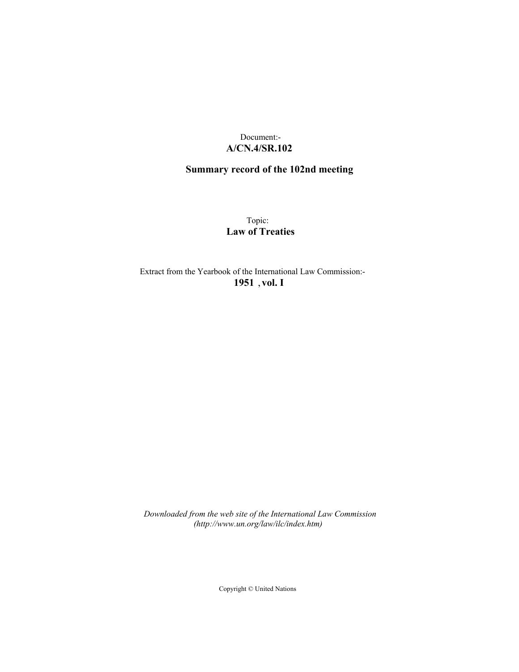# Document:- **A/CN.4/SR.102**

# **Summary record of the 102nd meeting**

Topic: **Law of Treaties**

Extract from the Yearbook of the International Law Commission:- **1951** ,**vol. I**

*Downloaded from the web site of the International Law Commission (http://www.un.org/law/ilc/index.htm)*

Copyright © United Nations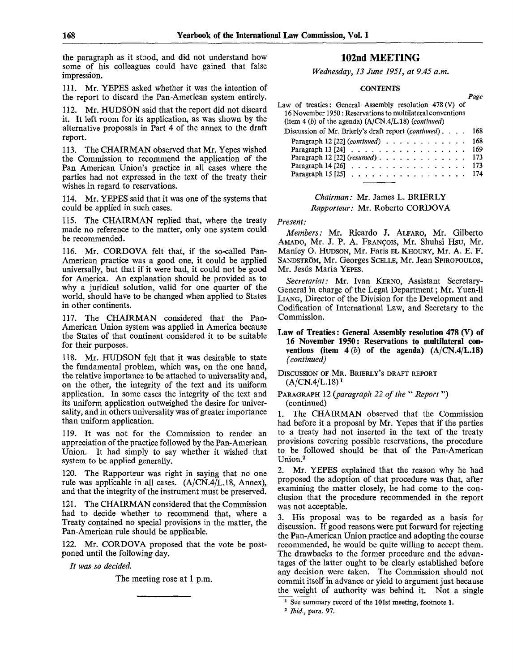the paragraph as it stood, and did not understand how some of his colleagues could have gained that false impression.

111. Mr. YEPES asked whether it was the intention of the report to discard the Pan-American system entirely.

112. Mr. HUDSON said that the report did not discard it. It left room for its application, as was shown by the alternative proposals in Part 4 of the annex to the draft report.

113. The CHAIRMAN observed that Mr. Yepes wished the Commission to recommend the application of the Pan American Union's practice in all cases where the parties had not expressed in the text of the treaty their wishes in regard to reservations.

114. Mr. YEPES said that it was one of the systems that could be applied in such cases.

115. The CHAIRMAN replied that, where the treaty made no reference to the matter, only one system could be recommended.

116. Mr. CORDOVA felt that, if the so-called Pan-American practice was a good one, it could be applied universally, but that if it were bad, it could not be good for America. An explanation should be provided as to why a juridical solution, valid for one quarter of the world, should have to be changed when applied to States in other continents.

117. The CHAIRMAN considered that the Pan-American Union system was applied in America because the States of that continent considered it to be suitable for their purposes.

118. Mr. HUDSON felt that it was desirable to state the fundamental problem, which was, on the one hand, the relative importance to be attached to universality and, on the other, the integrity of the text and its uniform application. In some cases the integrity of the text and its uniform application outweighed the desire for universality, and in others universality was of greater importance than uniform application.

119. It was not for the Commission to render an appreciation of the practice followed by the Pan-American Union. It had simply to say whether it wished that system to be applied generally.

120. The Rapporteur was right in saying that no one rule was applicable in all cases. (A/CN.4/L.18, Annex), and that the integrity of the instrument must be preserved.

121. The CHAIRMAN considered that the Commission had to decide whether to recommend that, where a Treaty contained no special provisions in the matter, the Pan-American rule should be applicable.

122. Mr. CORDOVA proposed that the vote be postponed until the following day.

*It was so decided.*

The meeting rose at **1** p.m.

# 102nd MEETING

*Wednesday, 13 June 1951, at 9.45 a.m.*

### **CONTENTS**

*Page*

|                                                                                                                                                                                 | <b>AMA</b> |
|---------------------------------------------------------------------------------------------------------------------------------------------------------------------------------|------------|
| Law of treaties: General Assembly resolution 478(V) of<br>16 November 1950 : Reservations to multilateral conventions<br>(item 4 (b) of the agenda) $(A/CN.4/L.18)$ (continued) |            |
| Discussion of Mr. Brierly's draft report (continued). $\ldots$                                                                                                                  | 168        |
|                                                                                                                                                                                 | 168        |
| Paragraph 13 [24] $\ldots$ $\ldots$ $\ldots$ $\ldots$ $\ldots$ $\ldots$                                                                                                         | 169        |
| Paragraph 12 [22] (resumed) $\ldots$ ,                                                                                                                                          | 173        |
| Paragraph 14 [26] $\ldots$ $\ldots$ $\ldots$ $\ldots$ $\ldots$ $\ldots$ $\ldots$                                                                                                | 173        |
| Paragraph 15 [25] $\ldots$ $\ldots$ $\ldots$ $\ldots$ $\ldots$ $\ldots$                                                                                                         | 174        |
|                                                                                                                                                                                 |            |

*Chairman:* Mr. James L. BRIERLY

*Rapporteur:* Mr. Roberto CORDOVA

### *Present:*

*Members:* Mr. Ricardo J. ALFARO, Mr. Gilberto AMADO, Mr. J. P. A. FRANCOIS, Mr. Shuhsi Hsu, Mr. Manley O. HUDSON, Mr. Faris EL KHOURY, Mr. A. E. F. SANDSTROM, Mr. Georges SCELLE, Mr. Jean SPIROPOULOS, Mr. Jesús María YEPES.

*Secretariat:* Mr. Ivan KERNO, Assistant Secretary-General in charge of the Legal Department; Mr. Yuen-li LIANG, Director of the Division for the Development and Codification of International Law, and Secretary to the Commission.

**Law of Treaties**: **General Assembly resolution 478 (V) of 16 November 1950: Reservations to multilateral conventions** (item  $4(b)$  of the agenda)  $(A/CN.4/L.18)$ *(continued)*

DISCUSSION OF MR. BRIERLY'S DRAFT REPORT  $(A/CN.4/L.18)^1$ 

### PARAGRAPH 12 *{paragraph 22 of the* " *Report*") (continued)

1. The CHAIRMAN observed that the Commission had before it a proposal by Mr. Yepes that if the parties to a treaty had not inserted in the text of the treaty provisions covering possible reservations, the procedure to be followed should be that of the Pan-American Union.<sup>2</sup>

2. Mr. YEPES explained that the reason why he had proposed the adoption of that procedure was that, after examining the matter closely, he had come to the conclusion that the procedure recommended in the report was not acceptable.

3. His proposal was to be regarded as a basis for discussion. If good reasons were put forward for rejecting the Pan-American Union practice and adopting the course recommended, he would be quite willing to accept them. The drawbacks to the former procedure and the advantages of the latter ought to be clearly established before any decision were taken. The Commission should not commit itself in advance or yield to argument just because the weight of authority was behind it. Not a single

<sup>&</sup>lt;sup>1</sup> See summary record of the 101st meeting, footnote 1.

*<sup>2</sup> Ibid.,* para. 97. **l**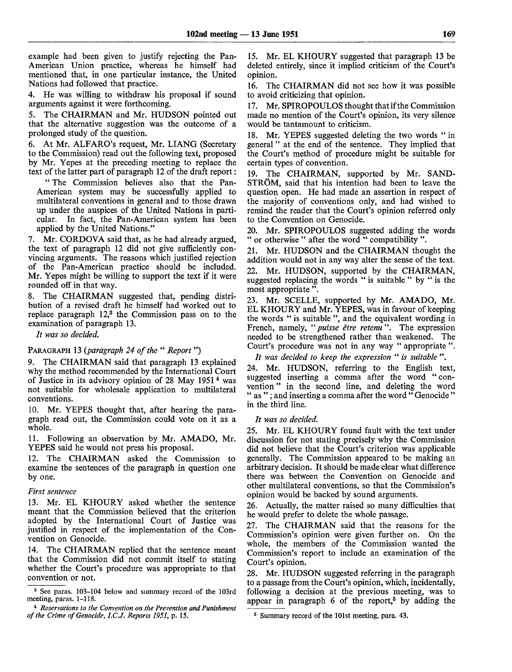example had been given to justify rejecting the Pan-American Union practice, whereas he himself had mentioned that, in one particular instance, the United Nations had followed that practice.

4. He was willing to withdraw his proposal if sound arguments against it were forthcoming.

5. The CHAIRMAN and Mr. HUDSON pointed out that the alternative suggestion was the outcome of a prolonged study of the question.

6. At Mr. ALFARO's request, Mr. LIANG (Secretary to the Commission) read out the following text, proposed by Mr. Yepes at the preceding meeting to replace the text of the latter part of paragraph 12 of the draft report:

" The Commission believes also that the Pan-American system may be successfully applied to multilateral conventions in general and to those drawn up under the auspices of the United Nations in particular. In fact, the Pan-American system has been applied by the United Nations."

7. Mr. CORDOVA said that, as he had already argued, the text of paragraph 12 did not give sufficiently convincing arguments. The reasons which justified rejection of the Pan-American practice should be included. Mr. Yepes might be willing to support the text if it were rounded off in that way.

The CHAIRMAN suggested that, pending distribution of a revised draft he himself had worked out to replace paragraph 12,<sup>3</sup> the Commission pass on to the examination of paragraph 13.

*It was so decided.*

### PARAGRAPH 13 *{paragraph 24 of the* " *Report*")

9. The CHAIRMAN said that paragraph 13 explained why the method recommended by the International Court of Justice in its advisory opinion of 28 May 1951 <sup>4</sup> was not suitable for wholesale application to multilateral conventions.

10. Mr. YEPES thought that, after hearing the paragraph read out, the Commission could vote on it as a whole.

11. Following an observation by Mr. AMADO, Mr. YEPES said he would not press his proposal.

12. The CHAIRMAN asked the Commission to examine the sentences of the paragraph in question one by one.

#### *First sentence*

13. Mr. EL KHOURY asked whether the sentence meant that the Commission believed that the criterion adopted by the International Court of Justice was justified in respect of the implementation of the Convention on Genocide.

14. The CHAIRMAN replied that the sentence meant that the Commission did not commit itself to stating whether the Court's procedure was appropriate to that convention or not.

15. Mr. EL KHOURY suggested that paragraph 13 be deleted entirely, since it implied criticism of the Court's opinion.

16. The CHAIRMAN did not see how it was possible to avoid criticizing that opinion.

17. Mr. SPIROPOULOS thought that if the Commission made no mention of the Court's opinion, its very silence would be tantamount to criticism.

18. Mr. YEPES suggested deleting the two words " in general" at the end of the sentence. They implied that the Court's method of procedure might be suitable for certain types of convention.

19. The CHAIRMAN, supported by Mr. SAND-STROM, said that his intention had been to leave the question open. He had made an assertion in respect of the majority of conventions only, and had wished to remind the reader that the Court's opinion referred only to the Convention on Genocide.

20. Mr. SPIROPOULOS suggested adding the words " or otherwise " after the word " compatibility ".

21. Mr. HUDSON and the CHAIRMAN thought the addition would not in any way alter the sense of the text. 22. Mr. HUDSON, supported by the CHAIRMAN, suggested replacing the words " is suitable " by " is the most appropriate ".

23. Mr. SCELLE, supported by Mr. AMADO, Mr. EL KHOURY and Mr. YEPES, was in favour of keeping the words " is suitable ", and the equivalent wording in French, namely, " *puisse etre retenu".* The expression needed to be strengthened rather than weakened. The Court's procedure was not in any way " appropriate ".

*It was decided to keep the expression* " *is suitable* ".

24. Mr. HUDSON, referring to the English text, suggested inserting a comma after the word " convention " in the second line, and deleting the word " as "; and inserting a comma after the word "Genocide" in the third line.

#### *It was so decided.*

25. Mr. EL KHOURY found fault with the text under discussion for not stating precisely why the Commission did not believe that the Court's criterion was applicable generally. The Commission appeared to be making an arbitrary decision. It should be made clear what difference there was between the Convention on Genocide and other multilateral conventions, so that the Commission's opinion would be backed by sound arguments.

26. Actually, the matter raised so many difficulties that he would prefer to delete the whole passage.

27. The CHAIRMAN said that the reasons for the Commission's opinion were given further on. On the whole, the members of the Commission wanted the Commission's report to include an examination of the Court's opinion.

28. Mr. HUDSON suggested referring in the paragraph to a passage from the Court's opinion, which, incidentally, following a decision at the previous meeting, was to appear in paragraph  $6$  of the report,<sup> $5$ </sup> by adding the

<sup>3</sup> See paras. 103-104 below and summary record of the 103rd meeting, paras. 1-118.

<sup>4</sup>  *Reservations to the Convention on the Prevention and Punishment of the Crime of Genocide, I.C.J. Reports 1951,* p. 15.

<sup>5</sup> Summary record of the 101st meeting, para. 43.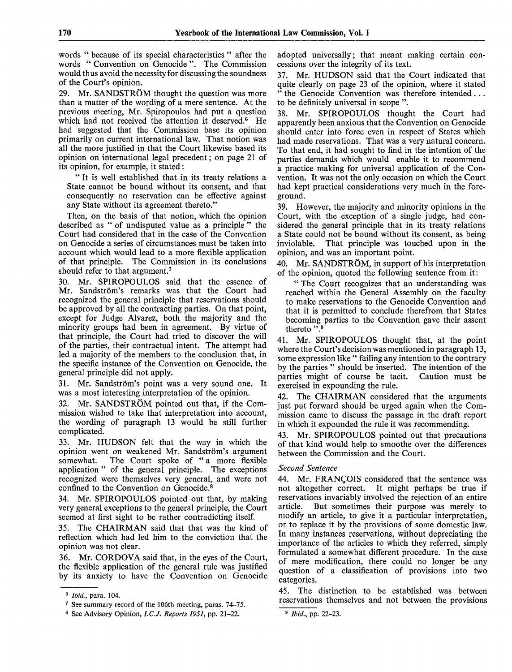words " because of its special characteristics " after the words " Convention on Genocide ". The Commission would thus avoid the necessity for discussing the soundness of the Court's opinion.

29. Mr. SANDSTRÖM thought the question was more than a matter of the wording of a mere sentence. At the previous meeting, Mr. Spiropoulos had put a question which had not received the attention it deserved.<sup>6</sup> He had suggested that the Commission base its opinion primarily on current international law. That notion was all the more justified in that the Court likewise based its opinion on international legal precedent; on page 21 of its opinion, for example, it stated:

"It is well established that in its treaty relations a State cannot be bound without its consent, and that consequently no reservation can be effective against any State without its agreement thereto."

Then, on the basis of that notion, which the opinion described as " of undisputed value as a principle " the Court had considered that in the case of the Convention on Genocide a series of circumstances must be taken into account which would lead to a more flexible application of that principle. The Commission in its conclusions should refer to that argument.<sup>7</sup>

30. Mr. SPIROPOULOS said that the essence of Mr. Sandström's remarks was that the Court had recognized the general principle that reservations should be approved by all the contracting parties. On that point, except for Judge Alvarez, both the majority and the minority groups had been in agreement. By virtue of that principle, the Court had tried to discover the will of the parties, their contractual intent. The attempt had led a majority of the members to the conclusion that, in the specific instance of the Convention on Genocide, the general principle did not apply.

31. Mr. Sandström's point was a very sound one. It was a most interesting interpretation of the opinion.

32. Mr. SANDSTRÖM pointed out that, if the Commission wished to take that interpretation into account, the wording of paragraph 13 would be still further complicated.

33. Mr. HUDSON felt that the way in which the opinion went on weakened Mr. Sandström's argument somewhat. The Court spoke of " a more flexible application " of the general principle. The exceptions recognized were themselves very general, and were not confined to the Convention on Genocide.<sup>8</sup>

34. Mr. SPIROPOULOS pointed out that, by making very general exceptions to the general principle, the Court seemed at first sight to be rather contradicting itself.

35. The CHAIRMAN said that that was the kind of reflection which had led him to the conviction that the opinion was not clear.

36. Mr. CORDOVA said that, in the eyes of the Couit, the flexible application of the general rule was justified by its anxiety to have the Convention on Genocide adopted universally; that meant making certain concessions over the integrity of its text.

37. Mr. HUDSON said that the Court indicated that quite clearly on page 23 of the opinion, where it stated " the Genocide Convention was therefore intended .. . to be definitely universal in scope ".

38. Mr. SPIROPOULOS thought the Court had apparently been anxious that the Convention on Genocide should enter into force even in respect of States which had made reservations. That was a very natural concern. To that end, it had sought to find in the intention of the parties demands which would enable it to recommend a practice making for universal application of the Convention. It was not the only occasion on which the Court had kept practical considerations very much in the foreground.

39. However, the majority and minority opinions in the Court, with the exception of a single judge, had considered the general principle that in its treaty relations a State could not be bound without its consent, as being<br>inviolable. That principle was touched upon in the That principle was touched upon in the opinion, and was an important point.

40. Mr. SANDSTRÖM, in support of his interpretation of the opinion, quoted the following sentence from it:

" The Court recognizes that an understanding was reached within the General Assembly on the faculty to make reservations to the Genocide Convention and that it is permitted to conclude therefrom that States becoming parties to the Convention gave their assent thereto".

41. Mr. SPIROPOULOS thought that, at the point where the Court's decision was mentioned in paragraph 13, some expression like " failing any intention to the contrary by the parties " should be inserted. The intention of the parties might of course be tacit. Caution must be exercised in expounding the rule.

42. The CHAIRMAN considered that the arguments just put forward should be urged again when the Commission came to discuss the passage in the draft report in which it expounded the rule it was recommending.

43. Mr. SPIROPOULOS pointed out that precautions of that kind would help to smoothe over the differences between the Commission and the Court.

## *Second Sentence*

44. Mr. FRANCOIS considered that the sentence was not altogether correct. It might perhaps be true if reservations invariably involved the rejection of an entire But sometimes their purpose was merely to modify an article, to give it a particular interpretation, or to replace it by the provisions of some domestic law. In many instances reservations, without depreciating the importance of the articles to which they referred, simply formulated a somewhat different procedure. In the case of mere modification, there could no longer be any question of a classification of provisions into two categories.

45. The distinction to be established was between reservations themselves and not between the provisions

<sup>6</sup>  *Ibid.,* para. 104.

<sup>7</sup> See summary record of the 106th meeting, paras. 74-75.

<sup>8</sup> See Advisory Opinion, *I.C.J. Reports 1951,* pp. 21-22.

<sup>9</sup>  *Ibid.,* pp. 22-23.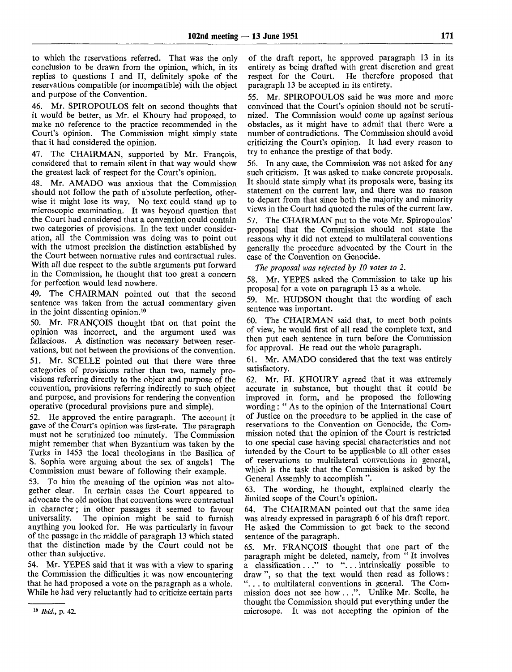to which the reservations referred. That was the only conclusion to be drawn from the opinion, which, in its replies to questions I and II, definitely spoke of the reservations compatible (or incompatible) with the object and purpose of the Convention.

46. Mr. SPIROPOULOS felt on second thoughts that it would be better, as Mr. el Khoury had proposed, to make no reference to the practice recommended in the Court's opinion. The Commission might simply state that it had considered the opinion.

47. The CHAIRMAN, supported by Mr. Francois, considered that to remain silent in that way would show the greatest lack of respect for the Court's opinion.

48. Mr. AMADO was anxious that the Commission should not follow the path of absolute perfection, otherwise it might lose its way. No text could stand up to microscopic examination. It was beyond question that the Court had considered that a convention could contain two categories of provisions. In the text under consideration, all the Commission was doing was to point out with the utmost precision the distinction established by the Court between normative rules and contractual rules. With all due respect to the subtle arguments put forward in the Commission, he thought that too great a concern for perfection would lead nowhere.

49. The CHAIRMAN pointed out that the second sentence was taken from the actual commentary given in the joint dissenting opinion.<sup>10</sup>

50. Mr. FRANCOIS thought that on that point the opinion was incorrect, and the argument used was fallacious. A distinction was necessary between reservations, but not between the provisions of the convention. 51. Mr. SCELLE pointed out that there were three

categories of provisions rather than two, namely provisions referring directly to the object and purpose of the convention, provisions referring indirectly to such object and purpose, and provisions for rendering the convention operative (procedural provisions pure and simple).

52. He approved the entire paragraph. The account it gave of the Court's opinion was first-rate. The paragraph must not be scrutinized too minutely. The Commission might remember that when Byzantium was taken by the Turks in 1453 the local theologians in the Basilica of S. Sophia were arguing about the sex of angels! The Commission must beware of following their example.

53. To him the meaning of the opinion was not altogether clear. In certain cases the Court appeared to advocate the old notion that conventions were contractual in character; in other passages it seemed to favour universality. The opinion might be said to furnish The opinion might be said to furnish anything you looked for. He was particularly in favour of the passage in the middle of paragraph 13 which stated that the distinction made by the Court could not be other than subjective.

54. Mr. YEPES said that it was with a view to sparing the Commission the difficulties it was now encountering that he had proposed a vote on the paragraph as a whole. While he had very reluctantly had to criticize certain parts

of the draft report, he approved paragraph 13 in its entirety as being drafted with great discretion and great respect for the Court. He therefore proposed that He therefore proposed that. paragraph 13 be accepted in its entirety.

55. Mr. SPIROPOULOS said he was more and more convinced that the Court's opinion should not be scrutinized. The Commission would come up against serious obstacles, as it might have to admit that there were a number of contradictions. The Commission should avoid criticizing the Court's opinion. It had every reason to try to enhance the prestige of that body.

56. In any case, the Commission was not asked for any such criticism. It was asked to make concrete proposals. It should state simply what its proposals were, basing its statement on the current law, and there was no reason to depart from that since both the majority and minority views in the Court had quoted the rules of the current law.

57. The CHAIRMAN put to the vote Mr. Spiropoulos' proposal that the Commission should not state the reasons why it did not extend to multilateral conventions generally the procedure advocated by the Court in the case of the Convention on Genocide.

*The proposal was rejected by 10 votes to 2.*

58. Mr. YEPES asked the Commission to take up his proposal for a vote on paragraph 13 as a whole.

59. Mr. HUDSON thought that the wording of each sentence was important.

60. The CHAIRMAN said that, to meet both points of view, he would first of all read the complete text, and then put each sentence in turn before the Commission for approval. He read out the whole paragraph.

61. Mr. AMADO considered that the text was entirely satisfactory.

62. Mr. EL KHOURY agreed that it was extremely accurate in substance, but thought that it could be improved in form, and he proposed the following wording: " As to the opinion of the International Court of Justice on the procedure to be applied in the case of reservations to the Convention on Genocide, the Commission noted that the opinion of the Court is restricted to one special case having special characteristics and not intended by the Court to be applicable to all other cases of reservations to multilateral conventions in general, which is the task that the Commission is asked by the General Assembly to accomplish ".

63. The wording, he thought, explained clearly the limited scope of the Court's opinion.

64. The CHAIRMAN pointed out that the same idea was already expressed in paragraph 6 of his draft report. He asked the Commission to get back to the second sentence of the paragraph.

65. Mr. FRANCOIS thought that one part of the paragraph might be deleted, namely, from " It involves paragraph in the contract contract to the classification ..." to "... intrinsically possible to draw", so that the text would then read as follows: "... to multilateral conventions in general. The Commission does not see how .. .". Unlike Mr. Scelle, he thought the Commission should put everything under the microsope. It was not accepting the opinion of the

<sup>10</sup>  *Ibid.,* p. 42.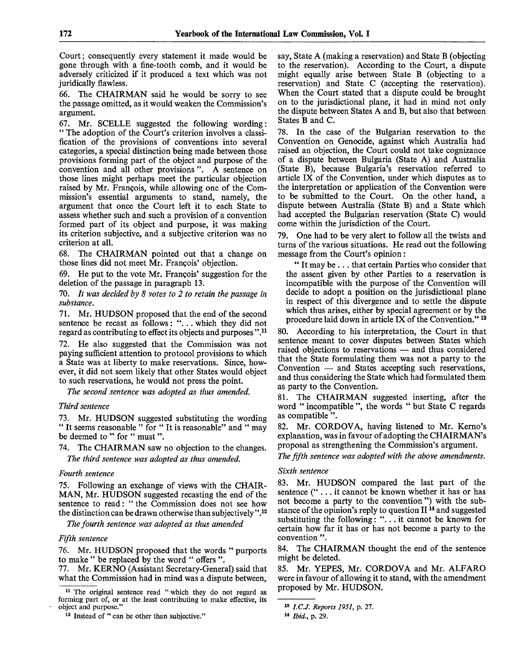Court; consequently every statement it made would be gone through with a fine-tooth comb, and it would be adversely criticized if it produced a text which was not juridically flawless.

66. The CHAIRMAN said he would be sorry to see the passage omitted, as it would weaken the Commission's argument.

67. Mr. SCELLE suggested the following wording: " The adoption of the Court's criterion involves a classification of the provisions of conventions into several categories, a special distinction being made between those provisions forming part of the object and purpose of the convention and all other provisions ". A sentence on those lines might perhaps meet the particular objection raised by Mr. Francois, while allowing one of the Commission's essential arguments to stand, namely, the argument that once the Court left it to each State to assess whether such and such a provision of a convention formed part of its object and purpose, it was making its criterion subjective, and a subjective criterion was no criterion at all.

68. The CHAIRMAN pointed out that a change on those lines did not meet Mr. Francois' objection.

69. He put to the vote Mr. Francois' suggestion for the deletion of the passage in paragraph 13.

70. *It was decided by 8 votes to 2 to retain the passage in substance.*

71. Mr. HUDSON proposed that the end of the second sentence be recast as follows: ".. . which they did not regard as contributing to effect its objects and purposes".<sup>11</sup>

72. He also suggested that the Commission was not paying sufficient attention to protocol provisions to which a State was at liberty to make reservations. Since, however, it did not seem likely that other States would object to such reservations, he would not press the point.

*The second sentence was adopted as thus amended.*

### *Third sentence*

73. Mr. HUDSON suggested substituting the wording " It seems reasonable " for " It is reasonable" and " may be deemed to " for " must ".

74. The CHAIRMAN saw no objection to the changes. *The third sentence was adopted as thus amended.*

### *Fourth sentence*

75. Following an exchange of views with the CHAIR-MAN, Mr. HUDSON suggested recasting the end of the sentence to read: " the Commission does not see how the distinction can be drawn otherwise than subjectively ",<sup>12</sup>

*The fourth sentence was adopted as thus amended*

### *Fifth sentence*

76. Mr. HUDSON proposed that the words " purports to make " be replaced by the word " offers ".

77. Mr. KERNO (Assistant Secretary-General) said that what the Commission had in mind was a dispute between,

say, State A (making a reservation) and State B (objecting to the reservation). According to the Court, a dispute might equally arise between State B (objecting to a reservation) and State C (accepting the reservation). When the Court stated that a dispute could be brought on to the jurisdictional plane, it had in mind not only the dispute between States A and B, but also that between States B and C.

78. In the case of the Bulgarian reservation to the Convention on Genocide, against which Australia had raised an objection, the Court could not take cognizance of a dispute between Bulgaria (State A) and Australia (State B), because Bulgaria's reservation referred to article IX of the Convention, under which disputes as to the interpretation or application of the Convention were to be submitted to the Court. On the other hand, a dispute between Australia (State B) and a State which had accepted the Bulgarian reservation (State C) would come within the jurisdiction of the Court.

79. One had to be very alert to follow all the twists and turns of the various situations. He read out the following message from the Court's opinion:

" It may be .. . that certain Parties who consider that the assent given by other Parties to a reservation is incompatible with the purpose of the Convention will decide to adopt a position on the jurisdictional plane in respect of this divergence and to settle the dispute which thus arises, either by special agreement or by the procedure laid down in article IX of the Convention."<sup>13</sup>

80. According to his interpretation, the Court in that sentence meant to cover disputes between States which raised objections to reservations — and thus considered that the State formulating them was not a party to the Convention — and States accepting such reservations, and thus considering the State which had formulated them as party to the Convention.

81. The CHAIRMAN suggested inserting, after the word " incompatible ", the words " but State C regards as compatible ".

82. Mr. CORDOVA, having listened to Mr. Kerno's explanation, was in favour of adopting the CHAIRMAN'S proposal as strengthening the Commission's argument.

*The fifth sentence was adopted with the above amendments.*

### *Sixth sentence*

83. Mr. HUDSON compared the last part of the sentence ("... it cannot be known whether it has or has not become a party to the convention") with the substance of the opinion's reply to question II<sup>14</sup> and suggested substituting the following: "... it cannot be known for certain how far it has or has not become a party to the convention ".

84. The CHAIRMAN thought the end of the sentence might be deleted.

85. Mr. YEPES, Mr. CORDOVA and Mr. ALFARO were in favour of allowing it to stand, with the amendment proposed by Mr. HUDSON.

<sup>&</sup>lt;sup>11</sup> The original sentence read "which they do not regard as forming part of, or at the least contributing to make effective, its object and purpose."

<sup>&</sup>lt;sup>12</sup> Instead of " can be other than subjective."

<sup>13</sup>  *I.C.J. Reports 1951,* p. 27.

<sup>14</sup>  *Ibid.,* p. 29.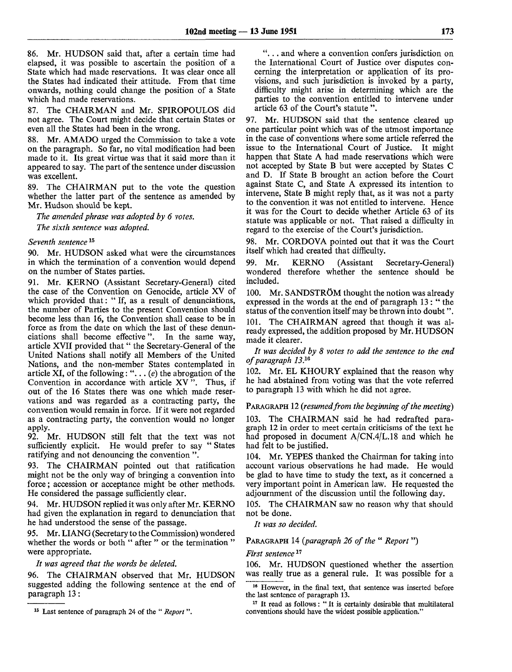86. Mr. HUDSON said that, after a certain time had elapsed, it was possible to ascertain the position of a State which had made reservations. It was clear once all the States had indicated their attitude. From that time onwards, nothing could change the position of a State which had made reservations.

87. The CHAIRMAN and Mr. SPIROPOULOS did not agree. The Court might decide that certain States or even all the States had been in the wrong.

88. Mr. AMADO urged the Commission to take a vote on the paragraph. So far, no vital modification had been made to it. Its great virtue was that it said more than it appeared to say. The part of the sentence under discussion was excellent.

89. The CHAIRMAN put to the vote the question whether the latter part of the sentence as amended by Mr. Hudson should be kept.

*The amended phrase was adopted by 6 votes. The sixth sentence was adopted.*

### *Seventh sentence*<sup>15</sup>

90. Mr. HUDSON asked what were the circumstances in which the termination of a convention would depend on the number of States parties.

91. Mr. KERNO (Assistant Secretary-General) cited the case of the Convention on Genocide, article XV of which provided that: " If, as a result of denunciations, the number of Parties to the present Convention should become less than 16, the Convention shall cease to be in force as from the date on which the last of these denunciations shall become effective". In the same way, article XVII provided that " the Secretary-General of the United Nations shall notify all Members of the United Nations, and the non-member States contemplated in article XI, of the following: ".. . *(e)* the abrogation of the Convention in accordance with article  $XY$ <sup>"</sup>. Thus, if out of the 16 States there was one which made reservations and was regarded as a contracting party, the convention would remain in force. If it were not regarded as a contracting party, the convention would no longer apply.

92. Mr. HUDSON still felt that the text was not sufficiently explicit. He would prefer to say " States ratifying and not denouncing the convention ".

93. The CHAIRMAN pointed out that ratification might not be the only way of bringing a convention into force; accession or acceptance might be other methods. He considered the passage sufficiently clear.

94. Mr. HUDSON replied it was only after Mr. KERNO had given the explanation in regard to denunciation that he had understood the sense of the passage.

95. Mr. LIANG (Secretary to the Commission) wondered whether the words or both " after " or the termination" were appropriate.

*It was agreed that the words be deleted.*

96. The CHAIRMAN observed that Mr. HUDSON suggested adding the following sentence at the end of paragraph 13:

".. . and where a convention confers jurisdiction on the International Court of Justice over disputes concerning the interpretation or application of its provisions, and such jurisdiction is invoked by a party, difficulty might arise in determining which are the parties to the convention entitled to intervene under article 63 of the Court's statute ".

97. Mr. HUDSON said that the sentence cleared up one particular point which was of the utmost importance in the case of conventions where some article referred the issue to the International Court of Justice. It might happen that State A had made reservations which were not accepted by State B but were accepted by States C and D. If State B brought an action before the Court against State C, and State A expressed its intention to intervene, State B might reply that, as it was not a party to the convention it was not entitled to intervene. Hence it was for the Court to decide whether Article 63 of its statute was applicable or not. That raised a difficulty in regard to the exercise of the Court's jurisdiction.

98. Mr. CORDOVA pointed out that it was the Court itself which had created that difficulty.

99. Mr. KERNO (Assistant Secretary-General) wondered therefore whether the sentence should be included.

100. Mr. SANDSTRÖM thought the notion was already expressed in the words at the end of paragraph 13 : " the status of the convention itself may be thrown into doubt".

101. The CHAIRMAN agreed that though it was already expressed, the addition proposed by Mr. HUDSON made it clearer.

*It was decided by 8 votes to add the sentence to the end of paragraph 13.<sup>10</sup>*

102. Mr. EL KHOURY explained that the reason why he had abstained from voting was that the vote referred to paragraph 13 with which he did not agree.

#### PARAGRAPH 12 *(resumed from the beginning of the meeting)*

103. The CHAIRMAN said he had redrafted paragraph 12 in order to meet certain criticisms of the text he had proposed in document A/CN.4/L.18 and which he had felt to be justified.

104. Mr. YEPES thanked the Chairman for taking into account various observations he had made. He would be glad to have time to study the text, as it concerned a very important point in American law. He requested the adjournment of the discussion until the following day.

105. The CHAIRMAN saw no reason why that should not be done.

*It was so decided.*

### PARAGRAPH 14 *{paragraph 26 of the* " *Report*")

*First sentence*<sup>17</sup>

106. Mr. HUDSON questioned whether the assertion was really true as a general rule. It was possible for a

<sup>15</sup> Last sentence of paragraph 24 of the " *Report ".*

<sup>&</sup>lt;sup>16</sup> However, in the final text, that sentence was inserted before the last sentence of paragraph 13.

<sup>&</sup>lt;sup>17</sup> It read as follows: "It is certainly desirable that multilateral conventions should have the widest possible application."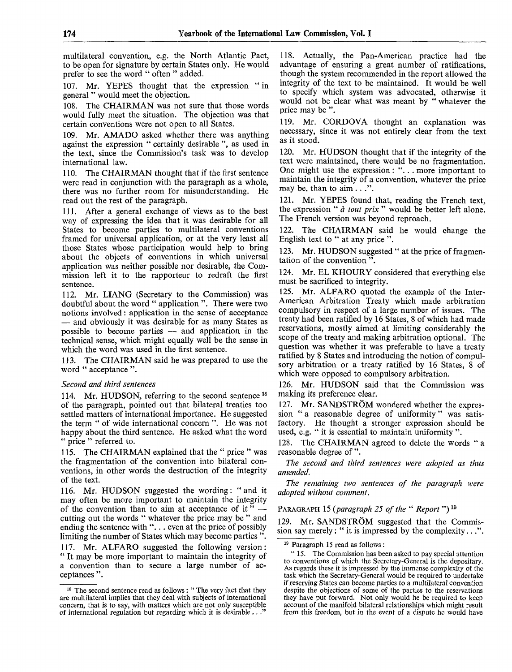multilateral convention, e.g. the North Atlantic Pact, to be open for signature by certain States only. He would prefer to see the word " often " added.

107. Mr. YEPES thought that the expression "in general " would meet the objection.

108. The CHAIRMAN was not sure that those words would fully meet the situation. The objection was that certain conventions were not open to all States.

109. Mr. AMADO asked whether there was anything against the expression " certainly desirable ", as used in the text, since the Commission's task was to develop international law.

110. The CHAIRMAN thought that if the first sentence were read in conjunction with the paragraph as a whole, there was no further room for misunderstanding. He read out the rest of the paragraph.

111. After a general exchange of views as to the best way of expressing the idea that it was desirable for all States to become parties to multilateral conventions framed for universal application, or at the very least all those States whose participation would help to bring about the objects of conventions in which universal application was neither possible nor desirable, the Commission left it to the rapporteur to redraft the first sentence.

112. Mr. LIANG (Secretary to the Commission) was doubtful about the word " application ". There were two notions involved: application in the sense of acceptance — and obviously it was desirable for as many States as possible to become parties — and application in the technical sense, which might equally well be the sense in which the word was used in the first sentence.

113. The CHAIRMAN said he was prepared to use the word " acceptance".

### *Second and third sentences*

114. Mr. HUDSON, referring to the second sentence  $18$ of the paragraph, pointed out that bilateral treaties too settled matters of international importance. He suggested the term " of wide international concern ". He was not happy about the third sentence. He asked what the word " price " referred to.

115. The CHAIRMAN explained that the " price " was the fragmentation of the convention into bilateral conventions, in other words the destruction of the integrity of the text.

116. Mr. HUDSON suggested the wording: "and it may often be more important to maintain the integrity of the convention than to aim at acceptance of it"  $$ cutting out the words " whatever the price may be " and ending the sentence with "... even at the price of possibly limiting the number of States which may become parties ".

117. Mr. ALFARO suggested the following version: " It may be more important to maintain the integrity of a convention than to secure a large number of acceptances ".

118. Actually, the Pan-American practice had the advantage of ensuring a great number of ratifications, though the system recommended in the report allowed the integrity of the text to be maintained. It would be well to specify which system was advocated, otherwise it would not be clear what was meant by "whatever the price may be ".

119. Mr. CORDOVA thought an explanation was necessary, since it was not entirely clear from the text as it stood.

120. Mr. HUDSON thought that if the integrity of the text were maintained, there would be no fragmentation. One might use the expression : ".. . more important to maintain the integrity of a convention, whatever the price may be, than to  $\overline{a}$ im  $\ldots$ ".

121. Mr. YEPES found that, reading the French text, the expression " *a tout prix* " would be better left alone. The French version was beyond reproach.

122. The CHAIRMAN said he would change the English text to " at any price ".

123. Mr. HUDSON suggested " at the price of fragmentation of the convention ".

124. Mr. EL KHOURY considered that everything else must be sacrificed to integrity.

125. Mr. ALFARO quoted the example of the Inter-American Arbitration Treaty which made arbitration compulsory in respect of a large number of issues. The treaty had been ratified by 16 States, 8 of which had made reservations, mostly aimed at limiting considerably the scope of the treaty and making arbitration optional. The question was whether it was preferable to have a treaty ratified by 8 States and introducing the notion of compulsory arbitration or a treaty ratified by 16 States, 8 of which were opposed to compulsory arbitration.

126. Mr. HUDSON said that the Commission was making its preference clear.

127. Mr. SANDSTRÖM wondered whether the expression " a reasonable degree of uniformity" was satisfactory. He thought a stronger expression should be used, e.g. " it is essential to maintain uniformity ".

128. The CHAIRMAN agreed to delete the words " a reasonable degree of".

*The second and third sentences were adopted as thus amended.*

*The remaining two sentences of the paragraph were adopted without comment.*

PARAGRAPH 15 (paragraph 25 of the "*Report*")<sup>19</sup>

129. Mr. SANDSTRÖM suggested that the Commission say merely: " it is impressed by the complexity...".

19 Paragraph 15 read as follows :

" 15. The Commission has been asked to pay special attention to conventions of which the Secretary-General is the depositary. As regards these it is impressed by the immense complexity of the task which the Secretary-General would be required to undertake if reserving States can become parties to a multilateral convention despite the objections of some of the parties to the reservations they have put forward. Not only would he be required to keep account of the manifold bilateral relationships which might result from this freedom, but in the event of a dispute he would have

<sup>&</sup>lt;sup>18</sup> The second sentence read as follows: "The very fact that they are multilateral implies that they deal with subjects of international concern, that is to say, with matters which are not only susceptible of international regulation but regarding which it is desirable...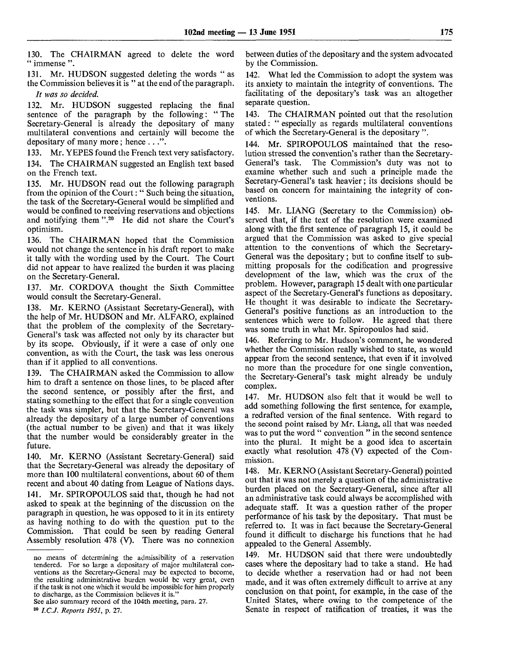130. The CHAIRMAN agreed to delete the word " immense ".

131. Mr. HUDSON suggested deleting the words " as the Commission believes it is " at the end of the paragraph.

*It was so decided.*

132. Mr. HUDSON suggested replacing the final sentence of the paragraph by the following: " The Secretary-General is already the depositary of many multilateral conventions and certainly will become the depositary of many more; hence ...".

133. Mr. YEPES found the French text very satisfactory. 134. The CHAIRMAN suggested an English text based on the French text.

135. Mr. HUDSON read out the following paragraph from the opinion of the Court: " Such being the situation, the task of the Secretary-General would be simplified and would be confined to receiving reservations and objections and notifying them ".<sup>20</sup> He did not share the Court's optimism.

136. The CHAIRMAN hoped that the Commission would not change the sentence in his draft report to make it tally with the wording used by the Court. The Court did not appear to have realized the burden it was placing on the Secretary-General.

137. Mr. CORDOVA thought the Sixth Committee would consult the Secretary-General.

138. Mr. KERNO (Assistant Secretary-General), with the help of Mr. HUDSON and Mr. ALFARO, explained that the problem of the complexity of the Secretary-General's task was affected not only by its character but by its scope. Obviously, if it were a case of only one convention, as with the Court, the task was less onerous than if it applied to all conventions.

139. The CHAIRMAN asked the Commission to allow him to draft a sentence on those lines, to be placed after the second sentence, or possibly after the first, and stating something to the effect that for a single convention the task was simpler, but that the Secretary-General was already the depositary of a large number of conventions (the actual number to be given) and that it was likely that the number would be considerably greater in the future.

140. Mr. KERNO (Assistant Secretary-General) said that the Secretary-General was already the depositary of more than 100 multilateral conventions, about 60 of them recent and about 40 dating from League of Nations days. 141. Mr. SPIROPOULOS said that, though he had not asked to speak at the beginning of the discussion on the paragraph in question, he was opposed to it in its entirety as having nothing to do with the question put to the Commission. That could be seen by reading General Assembly resolution 478 (V). There was no connexion

20  *I.C.J. Reports 1951,* p. 27.

between duties of the depositary and the system advocated by the Commission.

142. What led the Commission to adopt the system was its anxiety to maintain the integrity of conventions. The facilitating of the depositary's task was an altogether separate question.

143. The CHAIRMAN pointed out that the resolution stated: " especially as regards multilateral conventions of which the Secretary-General is the depositary ".

144. Mr. SPIROPOULOS maintained that the resolution stressed the convention's rather than the Secretary-General's task. The Commission's duty was not to examine whether such and such a principle made the Secretary-General's task heavier; its decisions should be based on concern for maintaining the integrity of conventions.

145. Mr. LIANG (Secretary to the Commission) observed that, if the text of the resolution were examined along with the first sentence of paragraph 15, it could be argued that the Commission was asked to give special attention to the conventions of which the Secretary-General was the depositary; but to confine itself to submitting proposals for the codification and progressive development of the law, which was the crux of the problem. However, paragraph 15 dealt with one particular aspect of the Secretary-General's functions as depositary. He thought it was desirable to indicate the Secretary-General's positive functions as an introduction to the sentences which were to follow. He agreed that there was some truth in what Mr. Spiropoulos had said.

146. Referring to Mr. Hudson's comment, he wondered whether the Commission really wished to state, as would appear from the second sentence, that even if it involved no more than the procedure for one single convention, the Secretary-General's task might already be unduly complex.

147. Mr. HUDSON also felt that it would be well to add something following the first sentence, for example, a redrafted version of the final sentence. With regard to the second point raised by Mr. Liang, all that was needed was to put the word " convention " in the second sentence into the plural. It might be a good idea to ascertain exactly what resolution 478 (V) expected of the Commission.

148. Mr. KERNO (Assistant Secretary-General) pointed out that it was not merely a question of the administrative burden placed on the Secretary-General, since after all an administrative task could always be accomplished with adequate staff. It was a question rather of the proper performance of his task by the depositary. That must be referred to. It was in fact because the Secretary-General found it difficult to discharge his functions that he had appealed to the General Assembly.

149. Mr. HUDSON said that there were undoubtedly cases where the depositary had to take a stand. He had to decide whether a reservation had or had not been made, and it was often extremely difficult to arrive at any conclusion on that point, for example, in the case of the United States, where owing to the competence of the Senate in respect of ratification of treaties, it was the

no means of determining the admissibility of a reservation tendered. For so large a depositary of major multilateral conventions as the Secretary-General may be expected to become, the resulting administrative burden would be very great, even if the task is not one which it would be impossible for him properly to discharge, as the Commission believes it is."

See also summary record of the 104th meeting, para. 27.